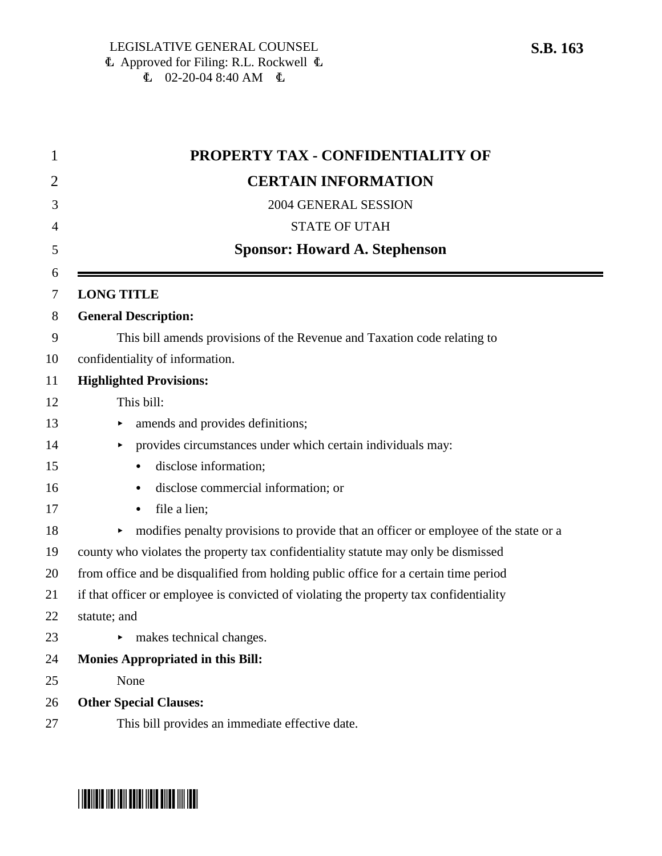|              | <b>PROPERTY TAX - CONFIDENTIALITY OF</b>                                               |
|--------------|----------------------------------------------------------------------------------------|
|              | <b>CERTAIN INFORMATION</b>                                                             |
|              | 2004 GENERAL SESSION                                                                   |
|              | <b>STATE OF UTAH</b>                                                                   |
|              | <b>Sponsor: Howard A. Stephenson</b>                                                   |
|              | <b>LONG TITLE</b>                                                                      |
|              | <b>General Description:</b>                                                            |
|              | This bill amends provisions of the Revenue and Taxation code relating to               |
|              | confidentiality of information.                                                        |
|              | <b>Highlighted Provisions:</b>                                                         |
|              | This bill:                                                                             |
|              | amends and provides definitions;                                                       |
|              | provides circumstances under which certain individuals may:                            |
|              | disclose information;<br>$\bullet$                                                     |
|              | disclose commercial information; or<br>۰                                               |
|              | file a lien;                                                                           |
|              | modifies penalty provisions to provide that an officer or employee of the state or a   |
|              | county who violates the property tax confidentiality statute may only be dismissed     |
|              | from office and be disqualified from holding public office for a certain time period   |
|              | if that officer or employee is convicted of violating the property tax confidentiality |
| statute; and |                                                                                        |
|              | makes technical changes.                                                               |
|              | <b>Monies Appropriated in this Bill:</b>                                               |
|              | None                                                                                   |
|              | <b>Other Special Clauses:</b>                                                          |
|              | This bill provides an immediate effective date.                                        |



# \*SB0163\*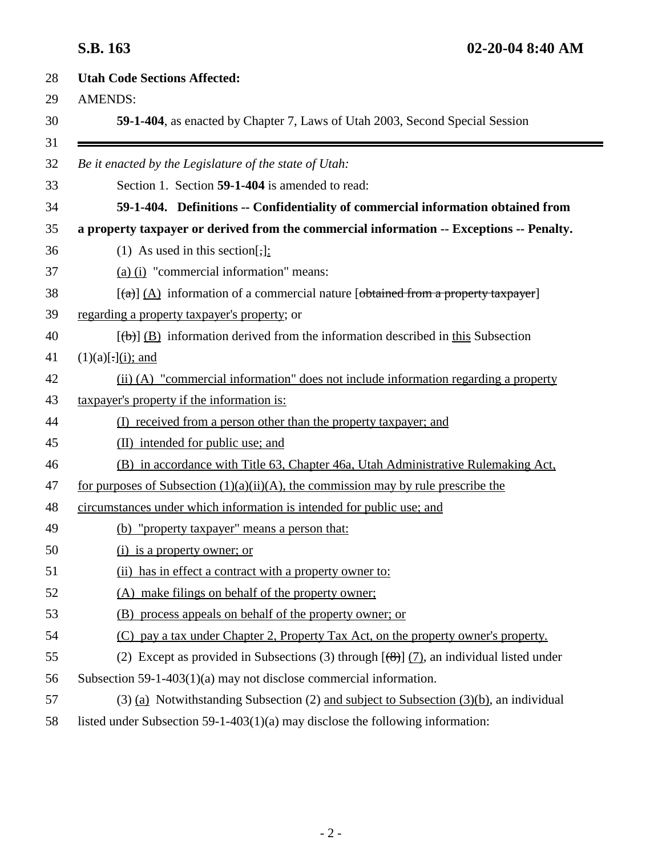| <b>Utah Code Sections Affected:</b>                                                             |
|-------------------------------------------------------------------------------------------------|
| <b>AMENDS:</b>                                                                                  |
| 59-1-404, as enacted by Chapter 7, Laws of Utah 2003, Second Special Session                    |
|                                                                                                 |
| Be it enacted by the Legislature of the state of Utah:                                          |
| Section 1. Section 59-1-404 is amended to read:                                                 |
| 59-1-404. Definitions -- Confidentiality of commercial information obtained from                |
| a property taxpayer or derived from the commercial information -- Exceptions -- Penalty.        |
| (1) As used in this section[,]:                                                                 |
| (a) (i) "commercial information" means:                                                         |
| $[\text{A}]$ (A) information of a commercial nature [obtained from a property taxpayer]         |
| regarding a property taxpayer's property; or                                                    |
| $[\text{(\text{b})}]$ (B) information derived from the information described in this Subsection |
| $(1)(a)[.](i);$ and                                                                             |
| (ii) (A) "commercial information" does not include information regarding a property             |
| taxpayer's property if the information is:                                                      |
| (I) received from a person other than the property taxpayer; and                                |
| (II) intended for public use; and                                                               |
| (B) in accordance with Title 63, Chapter 46a, Utah Administrative Rulemaking Act,               |
| for purposes of Subsection $(1)(a)(ii)(A)$ , the commission may by rule prescribe the           |
| circumstances under which information is intended for public use; and                           |
| (b) "property taxpayer" means a person that:                                                    |
| (i) is a property owner; or                                                                     |
| (ii) has in effect a contract with a property owner to:                                         |
| (A) make filings on behalf of the property owner;                                               |
| (B) process appeals on behalf of the property owner; or                                         |
| (C) pay a tax under Chapter 2, Property Tax Act, on the property owner's property.              |
| (2) Except as provided in Subsections (3) through $[(8)]$ (7), an individual listed under       |
| Subsection 59-1-403(1)(a) may not disclose commercial information.                              |
| $(3)$ (a) Notwithstanding Subsection (2) and subject to Subsection (3)(b), an individual        |
| listed under Subsection 59-1-403(1)(a) may disclose the following information:                  |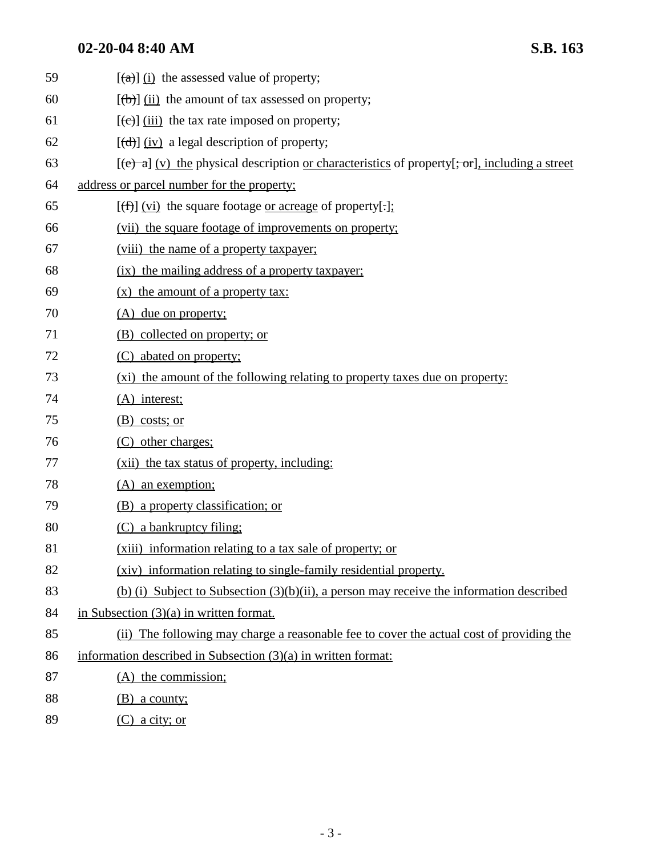## **02-20-04 8:40 AM S.B. 163**

| 59 | $\left[\frac{a}{a}\right]$ (i) the assessed value of property;                                                                 |
|----|--------------------------------------------------------------------------------------------------------------------------------|
| 60 | $[\theta]$ (ii) the amount of tax assessed on property;                                                                        |
| 61 | $[\text{e}(\text{e})]$ (iii) the tax rate imposed on property;                                                                 |
| 62 | $[\overrightarrow{d}]$ (iv) a legal description of property;                                                                   |
| 63 | $[\text{e} \rightarrow \text{a}]$ (v) the physical description <u>or characteristics</u> of property[; or], including a street |
| 64 | address or parcel number for the property;                                                                                     |
| 65 | $[\text{f}(\text{f})]$ (vi) the square footage or acreage of property[.];                                                      |
| 66 | (vii) the square footage of improvements on property;                                                                          |
| 67 | (viii) the name of a property taxpayer;                                                                                        |
| 68 | (ix) the mailing address of a property taxpayer;                                                                               |
| 69 | (x) the amount of a property tax:                                                                                              |
| 70 | (A) due on property;                                                                                                           |
| 71 | (B) collected on property; or                                                                                                  |
| 72 | (C) abated on property;                                                                                                        |
| 73 | (xi) the amount of the following relating to property taxes due on property:                                                   |
| 74 | $(A)$ interest;                                                                                                                |
| 75 | $(B)$ costs; or                                                                                                                |
| 76 | (C) other charges;                                                                                                             |
| 77 | (xii) the tax status of property, including:                                                                                   |
| 78 | (A) an exemption;                                                                                                              |
| 79 | (B) a property classification; or                                                                                              |
| 80 | (C) a bankruptcy filing;                                                                                                       |
| 81 | (xiii) information relating to a tax sale of property; or                                                                      |
| 82 | (xiv) information relating to single-family residential property.                                                              |
| 83 | (b) (i) Subject to Subsection $(3)(b)(ii)$ , a person may receive the information described                                    |
| 84 | in Subsection $(3)(a)$ in written format.                                                                                      |
| 85 | (ii) The following may charge a reasonable fee to cover the actual cost of providing the                                       |
| 86 | information described in Subsection (3)(a) in written format:                                                                  |
| 87 | (A) the commission;                                                                                                            |
| 88 | $(B)$ a county;                                                                                                                |
| 89 | $(C)$ a city; or                                                                                                               |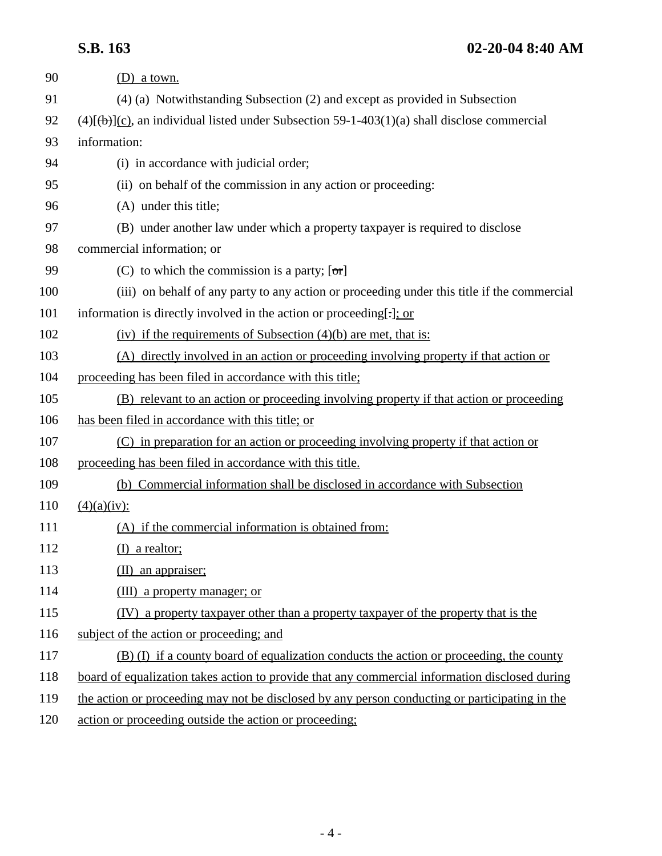# **S.B. 163 02-20-04 8:40 AM**

| 90  | $(D)$ a town.                                                                                           |
|-----|---------------------------------------------------------------------------------------------------------|
| 91  | (4) (a) Notwithstanding Subsection (2) and except as provided in Subsection                             |
| 92  | $(4)$ [ $(\theta)$ ](c), an individual listed under Subsection 59-1-403(1)(a) shall disclose commercial |
| 93  | information:                                                                                            |
| 94  | (i) in accordance with judicial order;                                                                  |
| 95  | (ii) on behalf of the commission in any action or proceeding:                                           |
| 96  | (A) under this title;                                                                                   |
| 97  | (B) under another law under which a property taxpayer is required to disclose                           |
| 98  | commercial information; or                                                                              |
| 99  | (C) to which the commission is a party; $[\sigma r]$                                                    |
| 100 | (iii) on behalf of any party to any action or proceeding under this title if the commercial             |
| 101 | information is directly involved in the action or proceeding[.]; or                                     |
| 102 | (iv) if the requirements of Subsection $(4)(b)$ are met, that is:                                       |
| 103 | (A) directly involved in an action or proceeding involving property if that action or                   |
| 104 | proceeding has been filed in accordance with this title;                                                |
| 105 | (B) relevant to an action or proceeding involving property if that action or proceeding                 |
| 106 | has been filed in accordance with this title; or                                                        |
| 107 | (C) in preparation for an action or proceeding involving property if that action or                     |
| 108 | proceeding has been filed in accordance with this title.                                                |
| 109 | (b) Commercial information shall be disclosed in accordance with Subsection                             |
| 110 | (4)(a)(iv):                                                                                             |
| 111 | (A) if the commercial information is obtained from:                                                     |
| 112 | $(I)$ a realtor;                                                                                        |
| 113 | $(II)$ an appraiser;                                                                                    |
| 114 | (III) a property manager; or                                                                            |
| 115 | <u>(IV) a property taxpayer other than a property taxpayer of the property that is the</u>              |
| 116 | subject of the action or proceeding; and                                                                |
| 117 | (B) (I) if a county board of equalization conducts the action or proceeding, the county                 |
| 118 | board of equalization takes action to provide that any commercial information disclosed during          |
| 119 | the action or proceeding may not be disclosed by any person conducting or participating in the          |
| 120 | action or proceeding outside the action or proceeding;                                                  |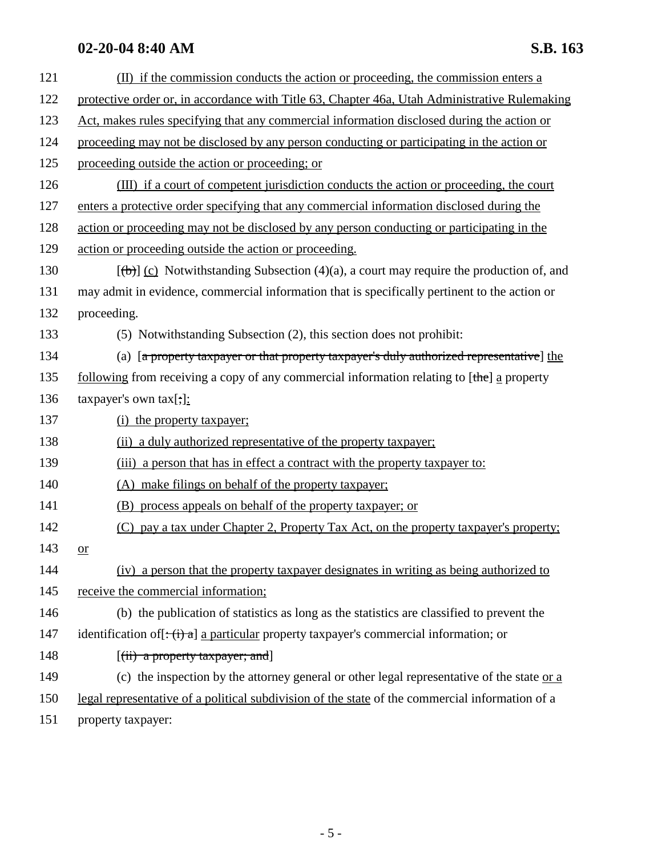# **02-20-04 8:40 AM S.B. 163**

| 121 | (II) if the commission conducts the action or proceeding, the commission enters a                                   |
|-----|---------------------------------------------------------------------------------------------------------------------|
| 122 | protective order or, in accordance with Title 63, Chapter 46a, Utah Administrative Rulemaking                       |
| 123 | Act, makes rules specifying that any commercial information disclosed during the action or                          |
| 124 | proceeding may not be disclosed by any person conducting or participating in the action or                          |
| 125 | proceeding outside the action or proceeding; or                                                                     |
| 126 | (III) if a court of competent jurisdiction conducts the action or proceeding, the court                             |
| 127 | enters a protective order specifying that any commercial information disclosed during the                           |
| 128 | action or proceeding may not be disclosed by any person conducting or participating in the                          |
| 129 | action or proceeding outside the action or proceeding.                                                              |
| 130 | $[\phi]$ (c) Notwithstanding Subsection (4)(a), a court may require the production of, and                          |
| 131 | may admit in evidence, commercial information that is specifically pertinent to the action or                       |
| 132 | proceeding.                                                                                                         |
| 133 | (5) Notwithstanding Subsection (2), this section does not prohibit:                                                 |
| 134 | (a) [a property taxpayer or that property taxpayer's duly authorized representative] the                            |
| 135 | <u>following</u> from receiving a copy of any commercial information relating to $[\theta]$ a property              |
| 136 | taxpayer's own $\text{tax}[\cdot]$ :                                                                                |
| 137 | (i) the property taxpayer;                                                                                          |
| 138 | (ii) a duly authorized representative of the property taxpayer;                                                     |
| 139 | (iii) a person that has in effect a contract with the property taxpayer to:                                         |
| 140 | (A) make filings on behalf of the property taxpayer;                                                                |
| 141 | (B) process appeals on behalf of the property taxpayer; or                                                          |
| 142 | (C) pay a tax under Chapter 2, Property Tax Act, on the property taxpayer's property;                               |
| 143 | or                                                                                                                  |
| 144 | (iv) a person that the property taxpayer designates in writing as being authorized to                               |
| 145 | receive the commercial information;                                                                                 |
| 146 | (b) the publication of statistics as long as the statistics are classified to prevent the                           |
| 147 | identification of $[\div(\mathbf{i}) \cdot \mathbf{a}]$ a particular property taxpayer's commercial information; or |
| 148 | $[(ii)$ a property taxpayer; and                                                                                    |
| 149 | (c) the inspection by the attorney general or other legal representative of the state $or a$                        |
| 150 | legal representative of a political subdivision of the state of the commercial information of a                     |
| 151 | property taxpayer:                                                                                                  |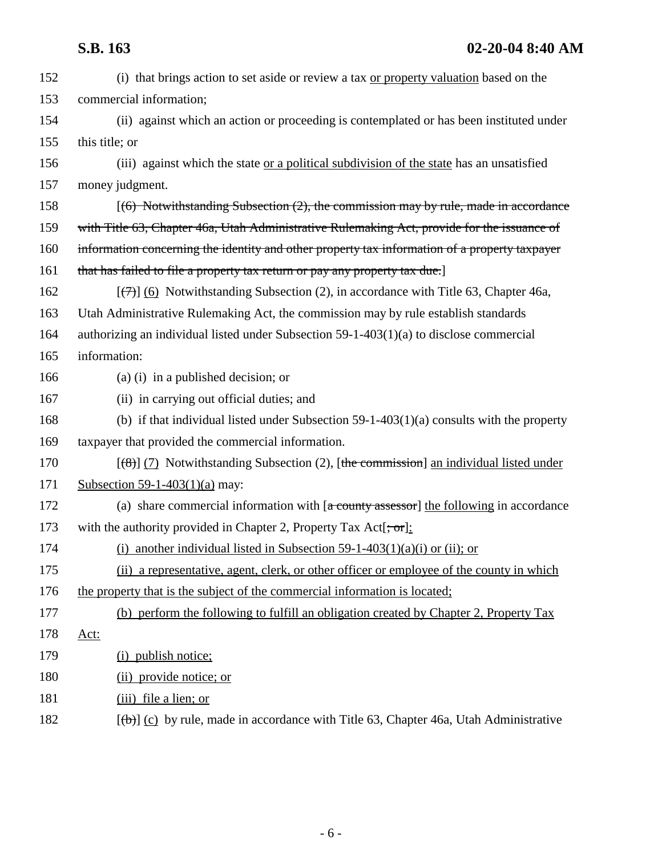# **S.B. 163 02-20-04 8:40 AM**

| 152 | (i) that brings action to set aside or review a tax or property valuation based on the                                |
|-----|-----------------------------------------------------------------------------------------------------------------------|
| 153 | commercial information;                                                                                               |
| 154 | (ii) against which an action or proceeding is contemplated or has been instituted under                               |
| 155 | this title; or                                                                                                        |
| 156 | (iii) against which the state or a political subdivision of the state has an unsatisfied                              |
| 157 | money judgment.                                                                                                       |
| 158 | $(6)$ Notwithstanding Subsection (2), the commission may by rule, made in accordance                                  |
| 159 | with Title 63, Chapter 46a, Utah Administrative Rulemaking Act, provide for the issuance of                           |
| 160 | information concerning the identity and other property tax information of a property taxpayer                         |
| 161 | that has failed to file a property tax return or pay any property tax due.]                                           |
| 162 | $(\overline{\left(\frac{1}{2}\right)})$ (6) Notwithstanding Subsection (2), in accordance with Title 63, Chapter 46a, |
| 163 | Utah Administrative Rulemaking Act, the commission may by rule establish standards                                    |
| 164 | authorizing an individual listed under Subsection $59-1-403(1)(a)$ to disclose commercial                             |
| 165 | information:                                                                                                          |
| 166 | (a) (i) in a published decision; or                                                                                   |
| 167 | (ii) in carrying out official duties; and                                                                             |
| 168 | (b) if that individual listed under Subsection $59-1-403(1)(a)$ consults with the property                            |
| 169 | taxpayer that provided the commercial information.                                                                    |
| 170 | $(\frac{8}{6})$ (7) Notwithstanding Subsection (2), [the commission] an individual listed under                       |
| 171 | Subsection 59-1-403(1)(a) may:                                                                                        |
| 172 | (a) share commercial information with $[a$ county assessor] the following in accordance                               |
| 173 | with the authority provided in Chapter 2, Property Tax Act $[\frac{1}{2}, \frac{1}{2}]$                               |
| 174 | (i) another individual listed in Subsection 59-1-403(1)(a)(i) or (ii); or                                             |
| 175 | (ii) a representative, agent, clerk, or other officer or employee of the county in which                              |
| 176 | the property that is the subject of the commercial information is located;                                            |
| 177 | (b) perform the following to fulfill an obligation created by Chapter 2, Property Tax                                 |
| 178 | Act:                                                                                                                  |
| 179 | (i) publish notice;                                                                                                   |
| 180 | (ii) provide notice; or                                                                                               |
| 181 | (iii) file a lien; or                                                                                                 |
| 182 | $[\phi]$ (c) by rule, made in accordance with Title 63, Chapter 46a, Utah Administrative                              |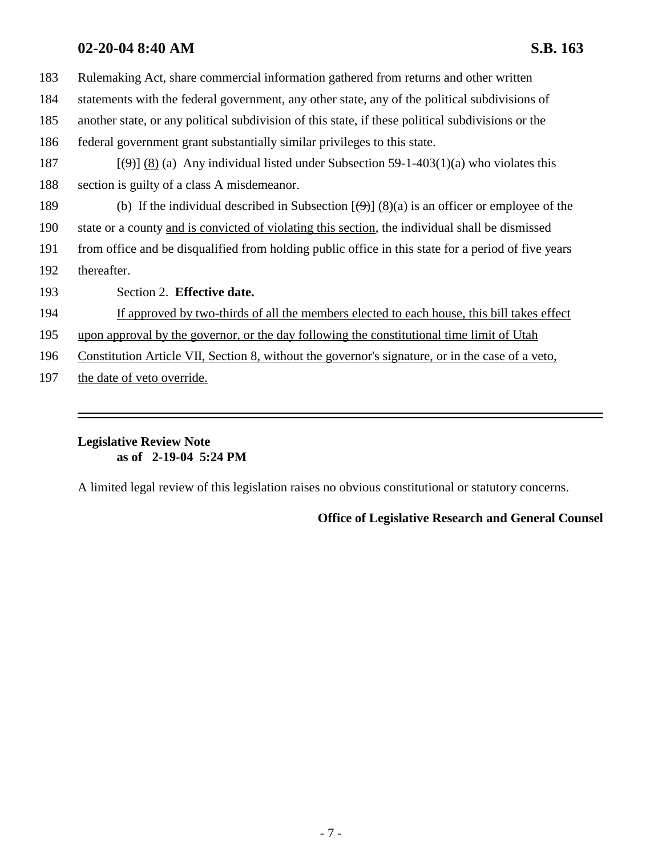### **02-20-04 8:40 AM S.B. 163**

| 183 | Rulemaking Act, share commercial information gathered from returns and other written                                    |
|-----|-------------------------------------------------------------------------------------------------------------------------|
| 184 | statements with the federal government, any other state, any of the political subdivisions of                           |
| 185 | another state, or any political subdivision of this state, if these political subdivisions or the                       |
| 186 | federal government grant substantially similar privileges to this state.                                                |
| 187 | $(\Theta)$ (8) (a) Any individual listed under Subsection 59-1-403(1)(a) who violates this                              |
| 188 | section is guilty of a class A misdemeanor.                                                                             |
| 189 | (b) If the individual described in Subsection $[\left(\frac{\Theta}{2}\right)] (8)(a)$ is an officer or employee of the |
| 190 | state or a county and is convicted of violating this section, the individual shall be dismissed                         |
| 191 | from office and be disqualified from holding public office in this state for a period of five years                     |
| 192 | thereafter.                                                                                                             |
| 193 | Section 2. Effective date.                                                                                              |
| 194 | If approved by two-thirds of all the members elected to each house, this bill takes effect                              |
| 195 | upon approval by the governor, or the day following the constitutional time limit of Utah                               |
| 196 | Constitution Article VII, Section 8, without the governor's signature, or in the case of a veto,                        |
| 197 | the date of veto override.                                                                                              |
|     |                                                                                                                         |

### **Legislative Review Note as of 2-19-04 5:24 PM**

A limited legal review of this legislation raises no obvious constitutional or statutory concerns.

### **Office of Legislative Research and General Counsel**